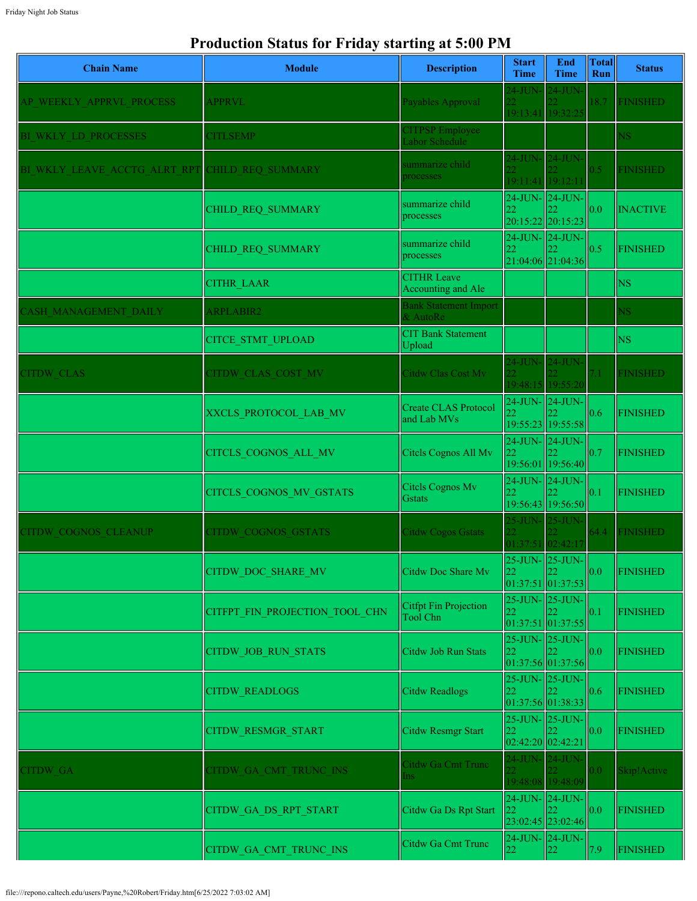## **Production Status for Friday starting at 5:00 PM**

| <b>Chain Name</b>            | <b>Module</b>                  | <b>Description</b>                         | <b>Start</b><br><b>Time</b>                             | End<br><b>Time</b>                                 | <b>Total</b><br>Run | <b>Status</b>   |
|------------------------------|--------------------------------|--------------------------------------------|---------------------------------------------------------|----------------------------------------------------|---------------------|-----------------|
| AP WEEKLY APPRVL PROCESS     | <b>APPRVL</b>                  | Payables Approval                          | $24$ -JUN-<br>19:13:41 19:32:25                         | $24$ -JUN $-$                                      | 18.7                | <b>FINISHED</b> |
| BI WKLY LD PROCESSES         | <b>CITLSEMP</b>                | <b>CITPSP</b> Employee<br>Labor Schedule   |                                                         |                                                    |                     | $_{\rm NS}$     |
| BI WKLY LEAVE ACCTG ALRT RPT | CHILD REQ SUMMARY              | summarize child<br>processes               | 24-JUN- 24-JUN-<br>22.<br>19:11:41 19:12:11             |                                                    | 0.5                 | <b>FINISHED</b> |
|                              | CHILD REQ SUMMARY              | summarize child<br>processes               | 24-JUN- 24-JUN-<br>22                                   | 20:15:22 20:15:23                                  | 0.0                 | <b>INACTIVE</b> |
|                              | CHILD REQ SUMMARY              | summarize child<br>processes               | 22                                                      | 24-JUN- 24-JUN-<br>21:04:06 21:04:36               | 0.5                 | <b>FINISHED</b> |
|                              | <b>CITHR LAAR</b>              | <b>CITHR Leave</b><br>Accounting and Ale   |                                                         |                                                    |                     | <b>NS</b>       |
| <b>ASH MANAGEMENT DAILY</b>  | <b>ARPLABIR2</b>               | <b>Bank Statement Import</b><br>& AutoRe   |                                                         |                                                    |                     | <b>NS</b>       |
|                              | <b>CITCE STMT UPLOAD</b>       | <b>CIT Bank Statement</b><br>Upload        |                                                         |                                                    |                     | <b>NS</b>       |
| <b>ITDW CLAS</b>             | <b>CITDW CLAS COST MV</b>      | Citdw Clas Cost Mv                         | 24-JUN- 24-JUN-                                         | 19:48:15 19:55:20                                  | 7.1                 | <b>FINISHED</b> |
|                              | XXCLS PROTOCOL LAB MV          | <b>Create CLAS Protocol</b><br>and Lab MVs | 24-JUN-24-JUN-<br>22                                    | 19:55:23 19:55:58                                  | 0.6                 | <b>FINISHED</b> |
|                              | CITCLS_COGNOS_ALL_MV           | Citcls Cognos All Mv                       | $24$ -JUN- $\vert$ 24-JUN-<br>$ 22\rangle$              | 19:56:01 19:56:40                                  | 0.7                 | <b>FINISHED</b> |
|                              | CITCLS_COGNOS_MV_GSTATS        | Citels Cognos Mv<br><b>G</b> stats         | 24-JUN- 24-JUN-<br>22                                   | 19:56:43 19:56:50                                  | 0.1                 | <b>FINISHED</b> |
| <b>CITDW COGNOS CLEANUP</b>  | <b>CITDW COGNOS GSTATS</b>     | <b>Citdw Cogos Gstats</b>                  | 25-JUN- 25-JUN-<br>$\overline{22}$<br>01:37:51 02:42:17 |                                                    | 64.4                | <b>FINISHED</b> |
|                              | <b>CITDW DOC SHARE MV</b>      | Citdw Doc Share Mv                         | 22                                                      | $25$ -JUN- $25$ -JUN-<br> 22 <br>01:37:51 01:37:53 | 0.0                 | <b>FINISHED</b> |
|                              | CITFPT FIN PROJECTION TOOL CHN | Citfpt Fin Projection<br>Tool Chn          | 25-JUN- 25-JUN-<br>22                                   | 01:37:51 01:37:55                                  | 0.1                 | <b>FINISHED</b> |
|                              | CITDW_JOB_RUN_STATS            | Citdw Job Run Stats                        | 22                                                      | 25-JUN- 25-JUN-<br>01:37:56 01:37:56               | 0.0                 | <b>FINISHED</b> |
|                              | <b>CITDW READLOGS</b>          | Citdw Readlogs                             | 22                                                      | 25-JUN- 25-JUN-<br>01:37:56 01:38:33               | 0.6                 | <b>FINISHED</b> |
|                              | CITDW_RESMGR_START             | Citdw Resmgr Start                         | 22<br>02:42:20 02:42:21                                 | 25-JUN- 25-JUN-                                    | 0.0                 | <b>FINISHED</b> |
| <b>ITDW GA</b>               | CITDW GA CMT TRUNC INS         | Citdw Ga Cmt Trunc<br>Ins                  | 24-JUN- 24-JUN-                                         | 19:48:08 19:48:09                                  | 0.0                 | Skip!Active     |
|                              | CITDW_GA_DS_RPT_START          | Citdw Ga Ds Rpt Start                      | 24-JUN-24-JUN-<br>22                                    | 23:02:45 23:02:46                                  | 0.0                 | <b>FINISHED</b> |
|                              | CITDW GA CMT TRUNC INS         | Citdw Ga Cmt Trunc                         | 22                                                      | 24-JUN- 24-JUN-<br>22                              | 7.9                 | <b>FINISHED</b> |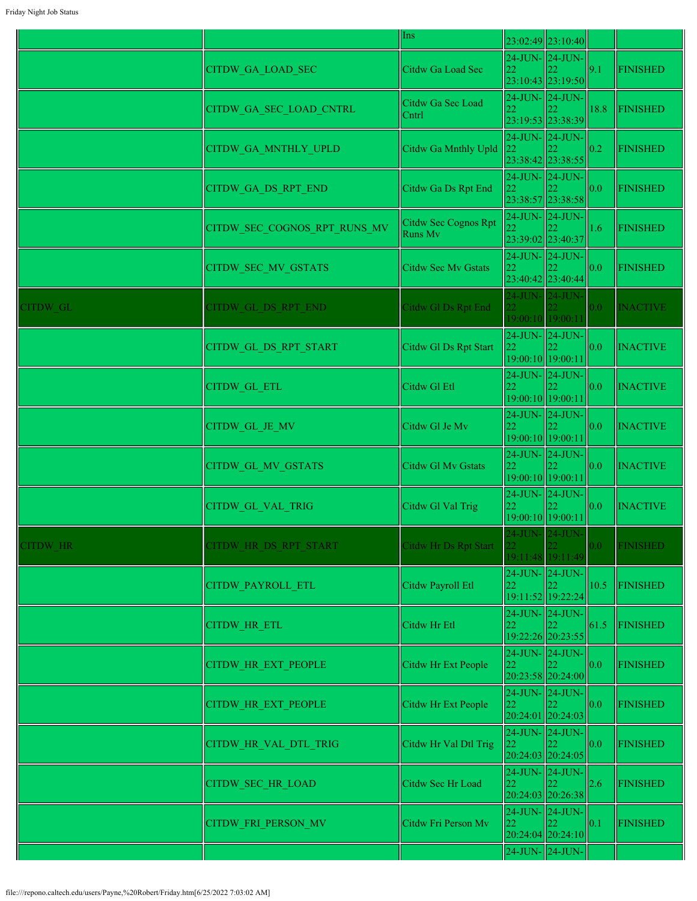|                 |                              | Ins                             |                                            | 23:02:49 23:10:40                          |      |                 |
|-----------------|------------------------------|---------------------------------|--------------------------------------------|--------------------------------------------|------|-----------------|
|                 | <b>CITDW GA LOAD SEC</b>     | Citdw Ga Load Sec               | 24-JUN- 24-JUN-<br>22                      | 23:10:43 23:19:50                          | 9.1  | <b>FINISHED</b> |
|                 | CITDW GA SEC LOAD CNTRL      | Citdw Ga Sec Load<br>Cntrl      | 24-JUN-24-JUN-<br>22                       | 23:19:53 23:38:39                          | 18.8 | <b>FINISHED</b> |
|                 | CITDW GA MNTHLY UPLD         | Citdw Ga Mnthly Upld            | 24-JUN-24-JUN-                             | 23:38:42 23:38:55                          | 0.2  | <b>FINISHED</b> |
|                 | CITDW GA DS RPT END          | Citdw Ga Ds Rpt End             |                                            | $24$ -JUN- $24$ -JUN-<br>23:38:57 23:38:58 | 0.0  | <b>FINISHED</b> |
|                 | CITDW SEC COGNOS RPT RUNS MV | Citdw Sec Cognos Rpt<br>Runs Mv | 24-JUN-24-JUN-                             | 23:39:02 23:40:37                          | 1.6  | <b>FINISHED</b> |
|                 | CITDW_SEC_MV_GSTATS          | <b>Citdw Sec Mv Gstats</b>      | 24-JUN- 24-JUN-<br>22                      | 23:40:42 23:40:44                          | 0.0  | <b>FINISHED</b> |
| CITDW GL        | CITDW GL DS RPT END          | Citdw Gl Ds Rpt End             |                                            | 24-JUN- 24-JUN-<br>19:00:10 19:00:11       | 0.0  | <b>INACTIVE</b> |
|                 | CITDW_GL_DS_RPT_START        | Citdw Gl Ds Rpt Start           | 19:00:10 19:00:11                          | $24$ -JUN- $24$ -JUN-                      | 0.0  | <b>INACTIVE</b> |
|                 | <b>CITDW GL ETL</b>          | Citdw Gl Etl                    | 24-JUN-24-JUN-<br>22<br>19:00:10 19:00:11  |                                            | 0.0  | <b>INACTIVE</b> |
|                 | CITDW_GL_JE_MV               | Citdw Gl Je Mv                  | 24-JUN- 24-JUN-<br>22.                     | 19:00:10 19:00:11                          | 0.0  | <b>INACTIVE</b> |
|                 | <b>CITDW GL MV GSTATS</b>    | Citdw Gl Mv Gstats              | 24-JUN- 24-JUN-<br>22<br>19:00:10 19:00:11 |                                            | 0.0  | <b>INACTIVE</b> |
|                 | <b>CITDW GL VAL TRIG</b>     | Citdw Gl Val Trig               | 22<br>19:00:10 19:00:11                    | $24$ -JUN- $24$ -JUN-                      | 0.0  | <b>INACTIVE</b> |
| <b>CITDW HR</b> | CITDW HR DS RPT START        | Citdw Hr Ds Rpt Start           | 24-JUN- 24-JUN<br>22 <sup>1</sup>          | <b>22</b><br>19:11:48 19:11:49             | 0.0  | <b>FINISHED</b> |
|                 | CITDW_PAYROLL_ETL            | Citdw Payroll Etl               | 24-JUN-24-JUN-<br>22                       | 19:11:52 19:22:24                          | 10.5 | <b>FINISHED</b> |
|                 | CITDW_HR_ETL                 | Citdw Hr Etl                    | 22                                         | 24-JUN- 24-JUN-<br>19:22:26 20:23:55       | 61.5 | FINISHED        |
|                 | <b>CITDW HR EXT PEOPLE</b>   | Citdw Hr Ext People             | 22                                         | $24$ -JUN- $24$ -JUN-<br>20:23:58 20:24:00 | 0.0  | <b>FINISHED</b> |
|                 | <b>CITDW HR EXT PEOPLE</b>   | Citdw Hr Ext People             | 24-JUN- 24-JUN-<br>22                      | 20:24:01 20:24:03                          | 0.0  | <b>FINISHED</b> |
|                 | CITDW_HR_VAL_DTL_TRIG        | Citdw Hr Val Dtl Trig           | 24-JUN- 24-JUN-<br>22                      | 20:24:03 20:24:05                          | 0.0  | <b>FINISHED</b> |
|                 | CITDW SEC HR LOAD            | Citdw Sec Hr Load               | 24-JUN-24-JUN-                             | 20:24:03 20:26:38                          | 2.6  | <b>FINISHED</b> |
|                 | <b>CITDW FRI PERSON MV</b>   | Citdw Fri Person Mv             | 22                                         | $24$ -JUN- $24$ -JUN-<br>20:24:04 20:24:10 | 0.1  | <b>FINISHED</b> |
|                 |                              |                                 | 24-JUN- 24-JUN-                            |                                            |      |                 |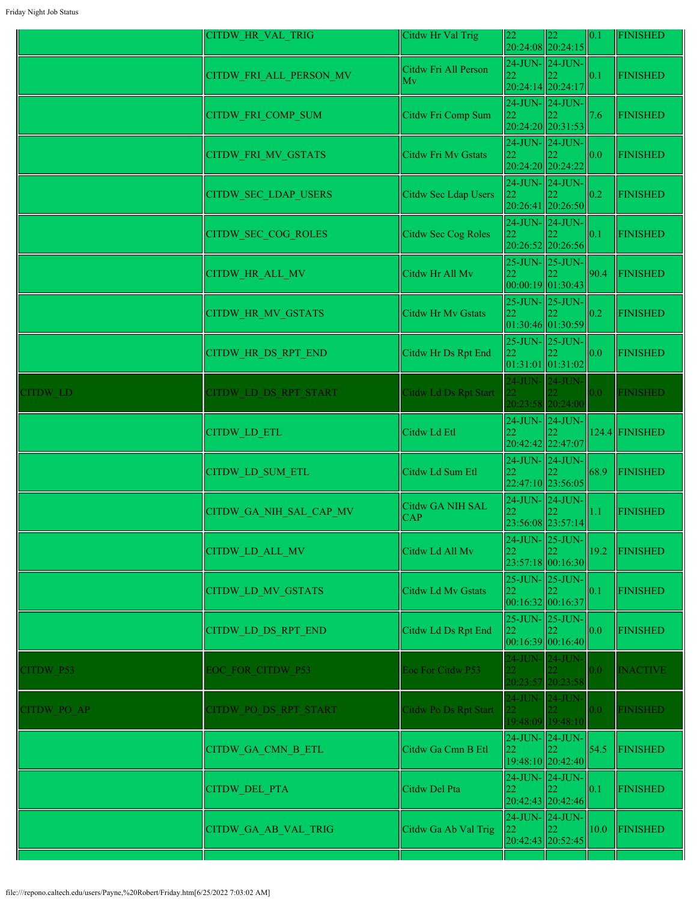|             | CITDW_HR_VAL_TRIG          | Citdw Hr Val Trig              | 22                                                             | 22 <br>20:24:08 20:24:15                   | 0.1              | <b>FINISHED</b>  |
|-------------|----------------------------|--------------------------------|----------------------------------------------------------------|--------------------------------------------|------------------|------------------|
|             | CITDW_FRI_ALL_PERSON_MV    | Citdw Fri All Person<br>Mv     | 24-JUN- 24-JUN-<br>22                                          | 20:24:14 20:24:17                          | 0.1              | <b>FINISHED</b>  |
|             | CITDW_FRI_COMP_SUM         | Citdw Fri Comp Sum             | 24-JUN- 24-JUN-<br> 22                                         | 20:24:20 20:31:53                          | 7.6              | FINISHED         |
|             | CITDW_FRI_MV_GSTATS        | Citdw Fri Mv Gstats            | 24-JUN- 24-JUN-<br>22                                          | 20:24:20 20:24:22                          | 0.0              | FINISHED         |
|             | CITDW_SEC_LDAP_USERS       | Citdw Sec Ldap Users           | 24-JUN-24-JUN-<br>22                                           | 20:26:41 20:26:50                          | 0.2              | <b>FINISHED</b>  |
|             | CITDW_SEC_COG_ROLES        | <b>Citdw Sec Cog Roles</b>     | 24-JUN-24-JUN-<br>22                                           | 20:26:52 20:26:56                          | 0.1              | <b>FINISHED</b>  |
|             | CITDW_HR_ALL_MV            | Citdw Hr All Mv                | 25-JUN- 25-JUN-<br>22<br> 00:00:19 01:30:43                    |                                            | 90.4             | <b>FINISHED</b>  |
|             | <b>CITDW HR MV GSTATS</b>  | <b>Citdw Hr Mv Gstats</b>      | 22<br>01:30:46 01:30:59                                        | 25-JUN- 25-JUN-                            | 0.2              | <b>FINISHED</b>  |
|             | <b>CITDW HR DS RPT END</b> | Citdw Hr Ds Rpt End            | $25$ -JUN- $25$ -JUN-<br>22<br> 01:31:01 01:31:02              |                                            | 0.0              | <b>FINISHED</b>  |
| CITDW LD    | CITDW LD DS RPT START      | Citdw Ld Ds Rpt Start          | 24-JUN- 24-JUN-                                                | 20:23:58 20:24:00                          | 0.0 <sub>1</sub> | <b>FINISHED</b>  |
|             | <b>CITDW LD ETL</b>        | Citdw Ld Etl                   | 22<br>20:42:42 22:47:07                                        | $24$ -JUN- $\vert$ 24-JUN- $\vert$         |                  | $124.4$ FINISHED |
|             | <b>CITDW LD SUM ETL</b>    | Citdw Ld Sum Etl               | 22:47:10 23:56:05                                              | 24-JUN-24-JUN-                             | 68.9             | FINISHED         |
|             | CITDW GA NIH SAL CAP MV    | Citdw GA NIH SAL<br><b>CAP</b> | 24-JUN-24-JUN-<br>22.                                          | 23:56:08 23:57:14                          | 1.1              | FINISHED         |
|             | <b>CITDW LD ALL MV</b>     | Citdw Ld All Mv                | 22                                                             | $24$ -JUN- $25$ -JUN-<br>23:57:18 00:16:30 | 19.2             | FINISHED         |
|             | <b>CITDW LD MV GSTATS</b>  | Citdw Ld Mv Gstats             | $25$ -JUN- $\vert$ 25-JUN- $\vert$<br>22<br> 00:16:32 00:16:37 |                                            | 0.1              | <b>FINISHED</b>  |
|             | CITDW LD DS RPT END        | Citdw Ld Ds Rpt End            | 22<br>00:16:39 00:16:40                                        | 25-JUN- 25-JUN-                            | 0.0              | <b>FINISHED</b>  |
| CITDW P53   | EOC FOR CITDW P53          | Eoc For Citdw P53              | 24-JUN- 24-JUN-                                                | 20:23:57 20:23:58                          | 0.0 <sub>1</sub> | <b>INACTIVE</b>  |
| CITDW PO AP | CITDW PO DS RPT START      | Citdw Po Ds Rpt Start          | 24-JUN-24-JUN-                                                 | 19:48:09 19:48:10                          | 0.0 <sub>1</sub> | <b>FINISHED</b>  |
|             | CITDW_GA_CMN_B_ETL         | Citdw Ga Cmn B Etl             | 24-JUN- 24-JUN-<br>22                                          | 19:48:10 20:42:40                          | 54.5             | FINISHED         |
|             | <b>CITDW DEL PTA</b>       | Citdw Del Pta                  | 22                                                             | 24-JUN-24-JUN-<br>20:42:43 20:42:46        | 0.1              | FINISHED         |
|             | CITDW_GA_AB_VAL_TRIG       | Citdw Ga Ab Val Trig           | 24-JUN-24-JUN-<br>22<br>20:42:43 20:52:45                      |                                            | 10.0             | FINISHED         |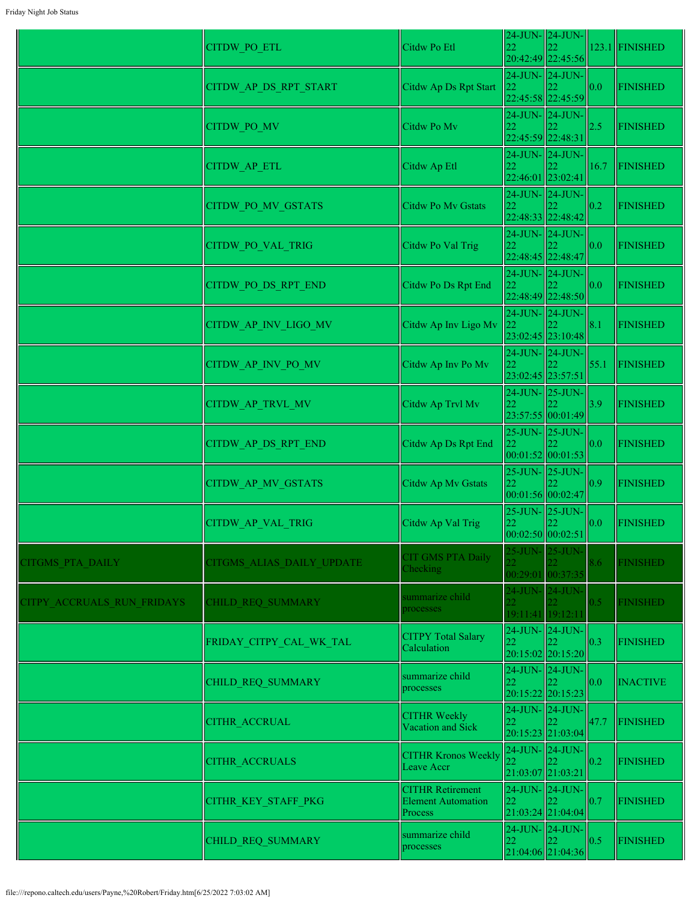|                            | <b>CITDW PO ETL</b>       | Citdw Po Etl                                         | 22                                   | 24-JUN-24-JUN-                             |                   | 123.1 FINISHED  |
|----------------------------|---------------------------|------------------------------------------------------|--------------------------------------|--------------------------------------------|-------------------|-----------------|
|                            |                           |                                                      | 24-JUN- 24-JUN-                      | 20:42:49 22:45:56                          |                   |                 |
|                            | CITDW_AP_DS_RPT_START     | Citdw Ap Ds Rpt Start                                | 22                                   | 22:45:58 22:45:59                          | 0.0               | <b>FINISHED</b> |
|                            |                           |                                                      |                                      | $24$ -JUN- $24$ -JUN-                      |                   |                 |
|                            | CITDW_PO_MV               | Citdw Po Mv                                          | 22<br>22:45:59 22:48:31              |                                            | 2.5               | <b>FINISHED</b> |
|                            |                           |                                                      |                                      | 24-JUN-24-JUN-                             |                   |                 |
|                            | CITDW_AP_ETL              | Citdw Ap Etl                                         | 22<br>22:46:01 23:02:41              |                                            | 16.7              | <b>FINISHED</b> |
|                            | CITDW PO MV GSTATS        | Citdw Po Mv Gstats                                   | 24-JUN-24-JUN-<br>22                 |                                            | 0.2               | <b>FINISHED</b> |
|                            |                           |                                                      |                                      | 22:48:33 22:48:42                          |                   |                 |
|                            | CITDW_PO_VAL_TRIG         | Citdw Po Val Trig                                    | 24-JUN-24-JUN-                       |                                            | 0.0               | <b>FINISHED</b> |
|                            |                           |                                                      |                                      | 22:48:45 22:48:47                          |                   |                 |
|                            | CITDW PO DS RPT END       | Citdw Po Ds Rpt End                                  | 24-JUN- 24-JUN-<br>22                |                                            | 0.0               | <b>FINISHED</b> |
|                            |                           |                                                      |                                      | 22:48:49 22:48:50                          |                   |                 |
|                            | CITDW AP INV LIGO MV      | Citdw Ap Inv Ligo Mv                                 | 24-JUN- 24-JUN-                      |                                            | 8.1               | <b>FINISHED</b> |
|                            |                           |                                                      |                                      | 23:02:45 23:10:48                          |                   |                 |
|                            | CITDW AP INV PO MV        | Citdw Ap Inv Po Mv                                   |                                      | $24$ -JUN- $\vert$ 24-JUN-                 | 55.1              | <b>FINISHED</b> |
|                            |                           |                                                      | 23:02:45 23:57:51<br>24-JUN- 25-JUN- |                                            |                   |                 |
|                            | CITDW_AP_TRVL_MV          | Citdw Ap Trvl Mv                                     |                                      |                                            | 3.9               | <b>FINISHED</b> |
|                            |                           |                                                      | $25$ -JUN- $25$ -JUN-                | 23:57:55 00:01:49                          |                   |                 |
|                            | CITDW_AP_DS_RPT_END       | Citdw Ap Ds Rpt End                                  | 22                                   |                                            | 0.0               | <b>FINISHED</b> |
|                            |                           |                                                      |                                      | 00:01:52 00:01:53<br>$25$ -JUN- $25$ -JUN- |                   |                 |
|                            | CITDW_AP_MV_GSTATS        | Citdw Ap Mv Gstats                                   | 22                                   | 00:01:56 00:02:47                          | 0.9               | <b>FINISHED</b> |
|                            |                           |                                                      |                                      | $25$ -JUN- $25$ -JUN-                      |                   |                 |
|                            | CITDW_AP_VAL_TRIG         | Citdw Ap Val Trig                                    | 22                                   | 00:02:50 00:02:51                          | $\vert 0.0 \vert$ | <b>FINISHED</b> |
|                            |                           | <b>CIT GMS PTA Daily</b>                             |                                      | 25-JUN- 25-JUN-                            |                   |                 |
| CITGMS PTA DAILY           | CITGMS ALIAS DAILY UPDATE | Checking                                             |                                      | 00:29:01 00:37:35                          | 8.6               | <b>FINISHED</b> |
|                            |                           | summarize child                                      |                                      | 24-JUN- 24-JUN-                            |                   |                 |
| CITPY ACCRUALS RUN FRIDAYS | <b>CHILD REQ SUMMARY</b>  | processes                                            | $22^{\circ}$                         | 19:11:41 19:12:11                          | 0.5               | <b>FINISHED</b> |
|                            |                           | <b>CITPY Total Salary</b>                            | 24-JUN-24-JUN-                       |                                            |                   |                 |
|                            | FRIDAY_CITPY_CAL_WK_TAL   | Calculation                                          | 22                                   | 20:15:02 20:15:20                          | 0.3               | <b>FINISHED</b> |
|                            | CHILD REQ SUMMARY         | summarize child                                      | 22                                   | $24$ -JUN- $\vert$ 24-JUN-                 | 0.0               | <b>INACTIVE</b> |
|                            |                           | processes                                            |                                      | 20:15:22 20:15:23                          |                   |                 |
|                            | <b>CITHR ACCRUAL</b>      | <b>CITHR Weekly</b>                                  | 22                                   | $24$ -JUN- $\vert$ 24-JUN-                 | 47.7              | <b>FINISHED</b> |
|                            |                           | Vacation and Sick                                    |                                      | 20:15:23 21:03:04                          |                   |                 |
|                            | <b>CITHR ACCRUALS</b>     | <b>CITHR Kronos Weekly</b>                           | 24-JUN- 24-JUN-                      |                                            | 0.2               | <b>FINISHED</b> |
|                            |                           | Leave Accr                                           | 21:03:07 21:03:21                    |                                            |                   |                 |
|                            | CITHR_KEY_STAFF_PKG       | <b>CITHR Retirement</b><br><b>Element Automation</b> | 24-JUN- 24-JUN-<br>22                |                                            | 0.7               | <b>FINISHED</b> |
|                            | Process                   |                                                      |                                      | 21:03:24 21:04:04                          |                   |                 |
|                            | CHILD REQ SUMMARY         | summarize child<br>processes                         | 22                                   | $24$ -JUN- $24$ -JUN-<br>22                | 0.5               | <b>FINISHED</b> |
|                            |                           |                                                      |                                      | 21:04:06 21:04:36                          |                   |                 |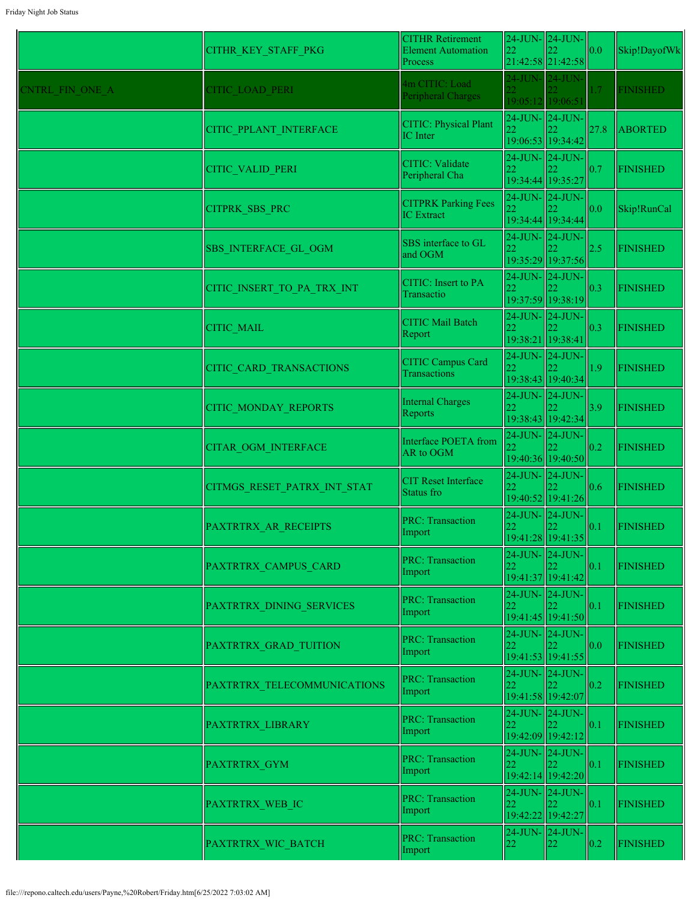|                 | CITHR KEY STAFF PKG            | <b>CITHR Retirement</b><br><b>Element Automation</b><br>Process | 24-JUN-24-JUN-<br>22                       | 21:42:58 21:42:58                                 | 0.0  | Skip!DayofWk    |
|-----------------|--------------------------------|-----------------------------------------------------------------|--------------------------------------------|---------------------------------------------------|------|-----------------|
| CNTRL FIN ONE A | <b>CITIC LOAD PERI</b>         | 4m CITIC: Load<br>Peripheral Charges                            | 24-JUN-124-JUN-<br>22<br>19:05:12 19:06:51 |                                                   | 1.7  | <b>FINISHED</b> |
|                 | CITIC PPLANT INTERFACE         | <b>CITIC: Physical Plant</b><br>IC Inter                        | 24-JUN- 24-JUN-<br>22                      | 19:06:53 19:34:42                                 | 27.8 | <b>ABORTED</b>  |
|                 | <b>CITIC VALID PERI</b>        | <b>CITIC: Validate</b><br>Peripheral Cha                        | 22                                         | $24$ -JUN- $24$ -JUN-<br>19:34:44 19:35:27        | 0.7  | <b>FINISHED</b> |
|                 | CITPRK_SBS_PRC                 | <b>CITPRK Parking Fees</b><br><b>IC</b> Extract                 | 22                                         | $24$ -JUN- $24$ -JUN-<br>19:34:44 19:34:44        | 0.0  | Skip!RunCal     |
|                 | SBS INTERFACE GL OGM           | SBS interface to GL<br>and OGM                                  | 22                                         | $24$ -JUN- $\vert$ 24-JUN-<br>19:35:29 19:37:56   | 2.5  | <b>FINISHED</b> |
|                 | CITIC INSERT TO PA TRX INT     | <b>CITIC:</b> Insert to PA<br>Transactio                        |                                            | $24$ -JUN- $\vert$ 24-JUN-<br>19:37:59 19:38:19   | 0.3  | <b>FINISHED</b> |
|                 | <b>CITIC MAIL</b>              | CITIC Mail Batch<br>Report                                      | 22<br>19:38:21 19:38:41                    | $24$ -JUN- $24$ -JUN-                             | 0.3  | <b>FINISHED</b> |
|                 | <b>CITIC CARD TRANSACTIONS</b> | CITIC Campus Card<br>Transactions                               | 24-JUN-24-JUN-                             | 19:38:43 19:40:34                                 | 1.9  | <b>FINISHED</b> |
|                 | <b>CITIC MONDAY REPORTS</b>    | <b>Internal Charges</b><br>Reports                              |                                            | 24-JUN- 24-JUN-<br>19:38:43 19:42:34              | 3.9  | <b>FINISHED</b> |
|                 | <b>CITAR OGM INTERFACE</b>     | Interface POETA from<br>AR to OGM                               |                                            | $24$ -JUN- $24$ -JUN-<br>19:40:36 19:40:50        | 0.2  | <b>FINISHED</b> |
|                 | CITMGS RESET PATRX INT STAT    | <b>CIT Reset Interface</b><br>Status fro                        | 22                                         | $24$ -JUN- $\ 24$ -JUN-<br>19:40:52 19:41:26      | 0.6  | <b>FINISHED</b> |
|                 | PAXTRTRX AR RECEIPTS           | <b>PRC: Transaction</b><br>Import                               | 22                                         | $24$ -JUN- $\vert$ 24-JUN-<br> 19:41:28  19:41:35 | 0.1  | <b>FINISHED</b> |
|                 | PAXTRTRX CAMPUS CARD           | <b>PRC: Transaction</b><br>Import                               | 24-JUN-24-JUN-                             | 19:41:37 19:41:42                                 | 0.1  | <b>FINISHED</b> |
|                 | PAXTRTRX DINING SERVICES       | <b>PRC: Transaction</b><br>Import                               | 22                                         | 24-JUN-24-JUN-<br>19:41:45 19:41:50               | 0.1  | <b>FINISHED</b> |
|                 | PAXTRTRX GRAD TUITION          | <b>PRC: Transaction</b><br>Import                               | 22                                         | $24$ -JUN- $24$ -JUN-<br>19:41:53 19:41:55        | 0.0  | <b>FINISHED</b> |
|                 | PAXTRTRX TELECOMMUNICATIONS    | <b>PRC: Transaction</b><br>Import                               | $24$ -JUN- $\vert$ 24-JUN-<br>22           | 19:41:58 19:42:07                                 | 0.2  | <b>FINISHED</b> |
|                 | PAXTRTRX LIBRARY               | <b>PRC: Transaction</b><br>Import                               | 22                                         | $24$ -JUN- $24$ -JUN-<br>19:42:09 19:42:12        | 0.1  | <b>FINISHED</b> |
|                 | <b>PAXTRTRX GYM</b>            | <b>PRC: Transaction</b><br>Import                               | 22                                         | $24$ -JUN- $24$ -JUN-<br>19:42:14 19:42:20        | 0.1  | <b>FINISHED</b> |
|                 | PAXTRTRX_WEB_IC                | <b>PRC: Transaction</b><br>Import                               | 24-JUN-24-JUN-<br>22<br>19:42:22 19:42:27  |                                                   | 0.1  | <b>FINISHED</b> |
|                 | PAXTRTRX_WIC_BATCH             | <b>PRC: Transaction</b><br>Import                               | 22                                         | $24$ -JUN- $24$ -JUN-<br>22                       | 0.2  | <b>FINISHED</b> |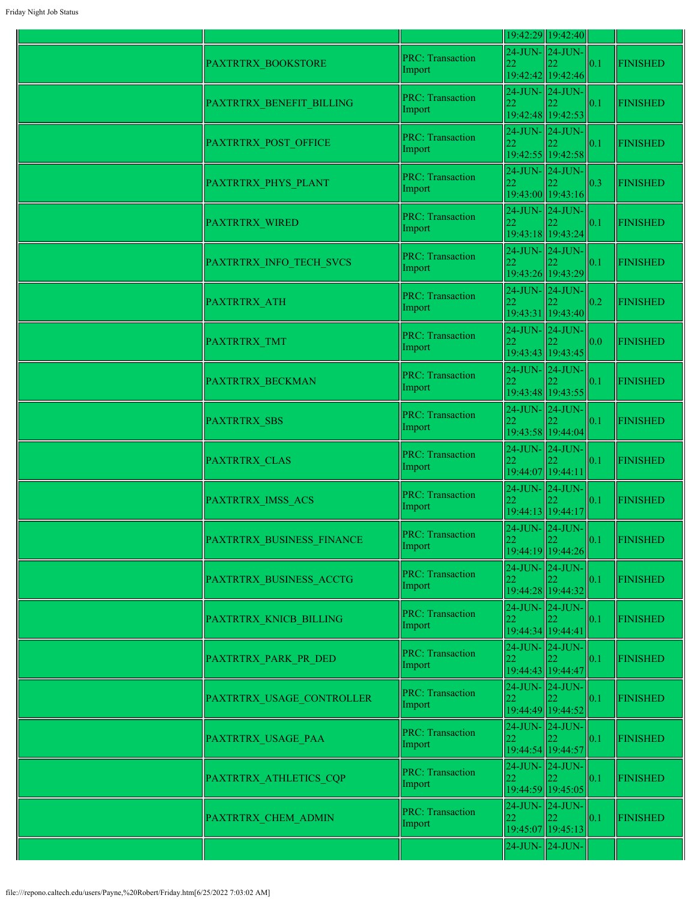|                           |                                   |                                                  | 19:42:29 19:42:40                   |     |                 |
|---------------------------|-----------------------------------|--------------------------------------------------|-------------------------------------|-----|-----------------|
| PAXTRTRX BOOKSTORE        | <b>PRC: Transaction</b><br>Import | 24-JUN-24-JUN-                                   | 19:42:42 19:42:46                   | 0.1 | <b>FINISHED</b> |
| PAXTRTRX_BENEFIT_BILLING  | <b>PRC: Transaction</b><br>Import |                                                  | 24-JUN-24-JUN-<br>19:42:48 19:42:53 | 0.1 | <b>FINISHED</b> |
| PAXTRTRX POST OFFICE      | <b>PRC: Transaction</b><br>Import | $24$ -JUN- $24$ -JUN-                            | 19:42:55 19:42:58                   | 0.1 | <b>FINISHED</b> |
| PAXTRTRX_PHYS_PLANT       | <b>PRC: Transaction</b><br>Import | $24$ -JUN- $\vert$ 24-JUN-<br>22                 | 19:43:00 19:43:16                   | 0.3 | <b>FINISHED</b> |
| PAXTRTRX_WIRED            | <b>PRC: Transaction</b><br>Import | $24$ -JUN- $24$ -JUN-<br>22                      | 19:43:18 19:43:24                   | 0.1 | <b>FINISHED</b> |
| PAXTRTRX_INFO_TECH_SVCS   | <b>PRC: Transaction</b><br>Import | 24-JUN-24-JUN-<br>22                             | 19:43:26 19:43:29                   | 0.1 | <b>FINISHED</b> |
| PAXTRTRX_ATH              | <b>PRC: Transaction</b><br>Import | $24$ -JUN- $24$ -JUN-<br>22                      | 19:43:31 19:43:40                   | 0.2 | <b>FINISHED</b> |
| PAXTRTRX TMT              | <b>PRC: Transaction</b><br>Import | $24$ -JUN- $24$ -JUN-<br>22                      | 19:43:43 19:43:45                   | 0.0 | <b>FINISHED</b> |
| PAXTRTRX BECKMAN          | <b>PRC: Transaction</b><br>Import | $24$ -JUN- $\vert$ 24-JUN-<br>22                 | 19:43:48 19:43:55                   | 0.1 | <b>FINISHED</b> |
| PAXTRTRX SBS              | <b>PRC: Transaction</b><br>Import | $24$ -JUN- $24$ -JUN-                            | 19:43:58 19:44:04                   | 0.1 | <b>FINISHED</b> |
| PAXTRTRX CLAS             | <b>PRC: Transaction</b><br>Import | $24$ -JUN- $24$ -JUN-<br>19:44:07 19:44:11       |                                     | 0.1 | <b>FINISHED</b> |
| PAXTRTRX IMSS ACS         | <b>PRC: Transaction</b><br>Import | 24-JUN-24-JUN-<br>19:44:13 19:44:17              |                                     | 0.1 | <b>FINISHED</b> |
| PAXTRTRX BUSINESS FINANCE | <b>PRC: Transaction</b><br>Import | 24-JUN-24-JUN-<br>22                             | 19:44:19 19:44:26                   | 0.1 | <b>FINISHED</b> |
| PAXTRTRX_BUSINESS_ACCTG   | <b>PRC: Transaction</b><br>Import | $24$ -JUN- $24$ -JUN-<br>22                      | 19:44:28 19:44:32                   | 0.1 | <b>FINISHED</b> |
| PAXTRTRX KNICB BILLING    | <b>PRC: Transaction</b><br>Import | 19:44:34 19:44:41                                | 24-JUN-24-JUN-                      | 0.1 | <b>FINISHED</b> |
| PAXTRTRX PARK PR DED      | <b>PRC: Transaction</b><br>Import | 24-JUN- 24-JUN-                                  | 19:44:43 19:44:47                   | 0.1 | <b>FINISHED</b> |
| PAXTRTRX USAGE CONTROLLER | <b>PRC: Transaction</b><br>Import | 24-JUN-24-JUN-<br>19:44:49 19:44:52              |                                     | 0.1 | <b>FINISHED</b> |
| PAXTRTRX USAGE PAA        | <b>PRC: Transaction</b><br>Import | $24$ -JUN- $24$ -JUN-<br>19:44:54 19:44:57       |                                     | 0.1 | <b>FINISHED</b> |
| PAXTRTRX_ATHLETICS_CQP    | <b>PRC: Transaction</b><br>Import | $24$ -JUN- $24$ -JUN-<br>22<br>19:44:59 19:45:05 |                                     | 0.1 | <b>FINISHED</b> |
| PAXTRTRX_CHEM_ADMIN       | <b>PRC: Transaction</b><br>Import | 24-JUN-24-JUN-<br>22                             | 22.<br>19:45:07 19:45:13            | 0.1 | <b>FINISHED</b> |
|                           |                                   | $24$ -JUN- $24$ -JUN-                            |                                     |     |                 |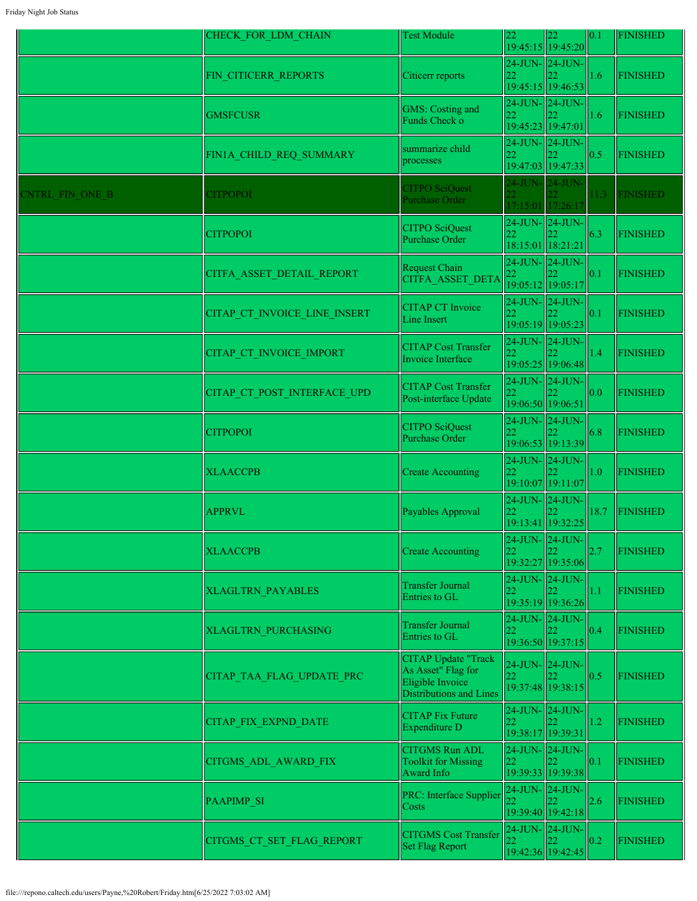|                 | CHECK FOR LDM CHAIN          | <b>Test Module</b>                                                                              | 22                                       | 22<br>19:45:15 19:45:20                         | 0.1  | <b>FINISHED</b> |
|-----------------|------------------------------|-------------------------------------------------------------------------------------------------|------------------------------------------|-------------------------------------------------|------|-----------------|
|                 | FIN_CITICERR_REPORTS         | Citicerr reports                                                                                | $24$ -JUN- $\ 24$ -JUN-<br>22            | 19:45:15 19:46:53                               | 1.6  | <b>FINISHED</b> |
|                 | <b>GMSFCUSR</b>              | GMS: Costing and<br>Funds Check o                                                               | 22                                       | 24-JUN-24-JUN-<br>19:45:23 19:47:01             | 1.6  | <b>FINISHED</b> |
|                 | FIN1A_CHILD_REQ_SUMMARY      | summarize child<br>processes                                                                    | 22                                       | 24-JUN-24-JUN-<br>19:47:03 19:47:33             | 0.5  | <b>FINISHED</b> |
| CNTRL FIN ONE B | <b>CITPOPOI</b>              | <b>CITPO SciQuest</b><br>Purchase Order                                                         | 24-JUN- 24-JUN-                          | 17:15:01 17:26:17                               | 11.3 | <b>FINISHED</b> |
|                 | <b>CITPOPOI</b>              | <b>CITPO SciQuest</b><br><b>Purchase Order</b>                                                  | 22<br>18:15:01 18:21:21                  | 24-JUN- 24-JUN-                                 | 6.3  | <b>FINISHED</b> |
|                 | CITFA ASSET DETAIL REPORT    | Request Chain<br><b>CITFA ASSET DETA</b>                                                        | 24-JUN-24-JUN-<br>22                     | 19:05:12 19:05:17                               | 0.1  | <b>FINISHED</b> |
|                 | CITAP CT INVOICE LINE INSERT | <b>CITAP CT Invoice</b><br>Line Insert                                                          | 22                                       | $24$ -JUN- $\vert$ 24-JUN-<br>19:05:19 19:05:23 | 0.1  | <b>FINISHED</b> |
|                 | CITAP CT INVOICE IMPORT      | <b>CITAP Cost Transfer</b><br>Invoice Interface                                                 | $24$ -JUN- $\parallel$ 24-JUN-           | 19:05:25 19:06:48                               | 1.4  | <b>FINISHED</b> |
|                 | CITAP CT POST INTERFACE UPD  | <b>CITAP Cost Transfer</b><br>Post-interface Update                                             | 24-JUN- 24-JUN-<br>19:06:50 19:06:51     |                                                 | 0.0  | <b>FINISHED</b> |
|                 | <b>CITPOPOI</b>              | <b>CITPO SciQuest</b><br><b>Purchase Order</b>                                                  | 22                                       | $24$ -JUN- $\vert$ 24-JUN-<br>19:06:53 19:13:39 | 6.8  | <b>FINISHED</b> |
|                 | <b>XLAACCPB</b>              | <b>Create Accounting</b>                                                                        | 24-JUN- 24-JUN-                          | 19:10:07 19:11:07                               | 1.0  | <b>FINISHED</b> |
|                 | <b>APPRVL</b>                | Payables Approval                                                                               | 24-JUN- 24-JUN-<br>22                    | 19:13:41 19:32:25                               | 18.7 | <b>FINISHED</b> |
|                 | <b>XLAACCPB</b>              | <b>Create Accounting</b>                                                                        | 22                                       | 24-JUN- 24-JUN-<br>19:32:27 19:35:06            | 2.7  | <b>FINISHED</b> |
|                 | <b>XLAGLTRN PAYABLES</b>     | <b>Transfer Journal</b><br>Entries to GL                                                        | 24-JUN-24-JUN-                           | 19:35:19 19:36:26                               | 1.1  | <b>FINISHED</b> |
|                 | <b>XLAGLTRN PURCHASING</b>   | <b>Transfer Journal</b><br>Entries to GL                                                        | 22                                       | $24$ -JUN- $\vert$ 24-JUN-<br>19:36:50 19:37:15 | 0.4  | <b>FINISHED</b> |
|                 | CITAP TAA FLAG UPDATE PRC    | <b>CITAP Update "Track</b><br>As Asset" Flag for<br>Eligible Invoice<br>Distributions and Lines | 24-JUN-24-JUN-<br>22                     | 19:37:48 19:38:15                               | 0.5  | <b>FINISHED</b> |
|                 | CITAP_FIX_EXPND_DATE         | <b>CITAP Fix Future</b><br><b>Expenditure D</b>                                                 | $24$ -JUN- $24$ -JUN-<br>$\overline{22}$ | 19:38:17 19:39:31                               | 1.2  | <b>FINISHED</b> |
|                 | CITGMS_ADL_AWARD_FIX         | <b>CITGMS Run ADL</b><br><b>Toolkit for Missing</b><br>Award Info                               | 24-JUN-24-JUN-<br>22                     | 19:39:33 19:39:38                               | 0.1  | <b>FINISHED</b> |
|                 | <b>PAAPIMP SI</b>            | PRC: Interface Supplier<br>Costs                                                                | 24-JUN- 24-JUN-<br>22                    | 19:39:40 19:42:18                               | 2.6  | <b>FINISHED</b> |
|                 | CITGMS CT SET FLAG REPORT    | <b>CITGMS Cost Transfer</b><br><b>Set Flag Report</b>                                           | $24$ -JUN- $\vert$ 24-JUN-<br>22         | 19:42:36 19:42:45                               | 0.2  | <b>FINISHED</b> |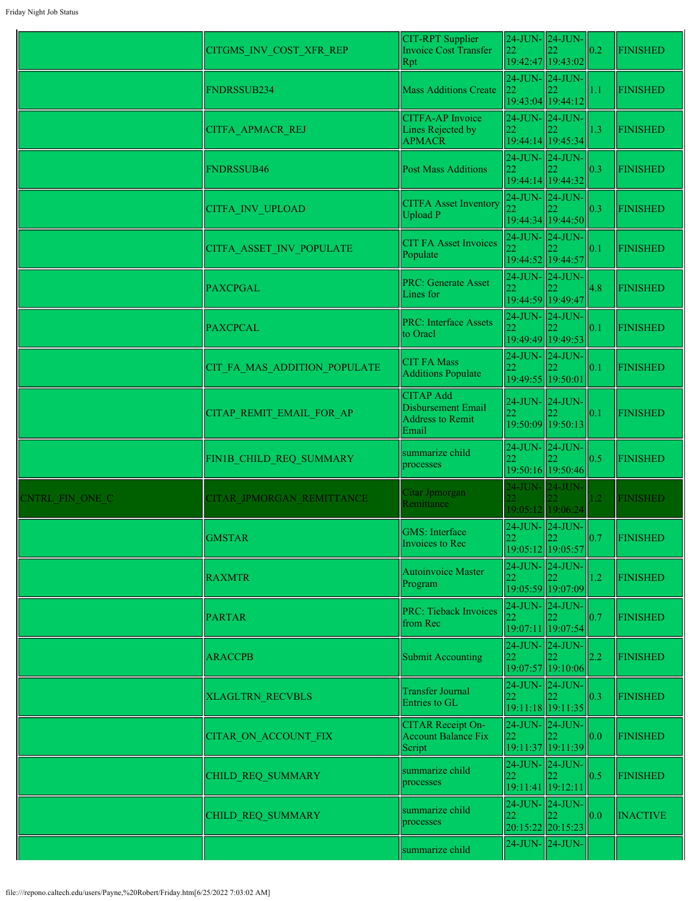|                        | CITGMS_INV_COST_XFR_REP      | CIT-RPT Supplier<br>Invoice Cost Transfer<br>Rpt                           | $24$ -JUN- $\vert$ 24-JUN-<br>22<br>19:42:47 19:43:02 |                                     | 0.2               | <b>FINISHED</b> |
|------------------------|------------------------------|----------------------------------------------------------------------------|-------------------------------------------------------|-------------------------------------|-------------------|-----------------|
|                        | FNDRSSUB234                  | <b>Mass Additions Create</b>                                               | 24-JUN- 24-JUN-<br>22<br>19:43:04 19:44:12            |                                     | 1.1               | <b>FINISHED</b> |
|                        | CITFA_APMACR_REJ             | <b>CITFA-AP</b> Invoice<br>Lines Rejected by<br><b>APMACR</b>              | 24-JUN- 24-JUN-<br>22<br>19:44:14 19:45:34            |                                     | 1.3               | <b>FINISHED</b> |
|                        | <b>FNDRSSUB46</b>            | <b>Post Mass Additions</b>                                                 | 24-JUN-24-JUN-<br>22<br>19:44:14 19:44:32             |                                     | 0.3               | <b>FINISHED</b> |
|                        | CITFA_INV_UPLOAD             | <b>CITFA Asset Inventory</b><br>Upload P                                   | $24$ -JUN- $\vert$ 24-JUN-<br>22<br>19:44:34 19:44:50 |                                     | 0.3               | <b>FINISHED</b> |
|                        | CITFA ASSET INV POPULATE     | <b>CIT FA Asset Invoices</b><br>Populate                                   | 24-JUN- 24-JUN-<br>19:44:52 19:44:57                  |                                     | 0.1               | <b>FINISHED</b> |
|                        | <b>PAXCPGAL</b>              | <b>PRC: Generate Asset</b><br>Lines for                                    | $24$ -JUN- $\ 24$ -JUN-<br>19:44:59 19:49:47          |                                     | 4.8               | <b>FINISHED</b> |
|                        | <b>PAXCPCAL</b>              | <b>PRC: Interface Assets</b><br>to Oracl                                   | 24-JUN-24-JUN-                                        | 19:49:49 19:49:53                   | 0.1               | <b>FINISHED</b> |
|                        | CIT FA MAS ADDITION POPULATE | <b>CIT FA Mass</b><br>Additions Populate                                   | 24-JUN-24-JUN-<br>19:49:55 19:50:01                   |                                     | 0.1               | <b>FINISHED</b> |
|                        | CITAP_REMIT_EMAIL_FOR_AP     | <b>CITAP Add</b><br>Disbursement Email<br><b>Address to Remit</b><br>Email | 24-JUN- 24-JUN-<br> 22<br>19:50:09 19:50:13           |                                     | 0.1               | <b>FINISHED</b> |
|                        | FIN1B CHILD REQ SUMMARY      | summarize child<br>processes                                               | $24$ -JUN- $\vert$ 24-JUN-<br>22                      | 19:50:16 19:50:46                   | 0.5               | <b>FINISHED</b> |
| <b>ENTRL FIN ONE C</b> | CITAR JPMORGAN REMITTANCE    | Citar Jpmorgan<br>Remittance                                               | 24-JUN- 24-JUN-<br>19:05:12 19:06:24                  |                                     | 1.2               | <b>FINISHED</b> |
|                        | <b>GMSTAR</b>                | <b>GMS</b> : Interface<br>Invoices to Rec                                  | 24-JUN- 24-JUN-<br>22                                 | $\parallel$ 22<br>19:05:12 19:05:57 | $\vert 0.7 \vert$ | <b>FINISHED</b> |
|                        | <b>RAXMTR</b>                | Autoinvoice Master<br>Program                                              | 24-JUN- 24-JUN-<br>22                                 | 19:05:59 19:07:09                   | 1.2               | <b>FINISHED</b> |
|                        | <b>PARTAR</b>                | <b>PRC: Tieback Invoices</b><br>from Rec                                   | 24-JUN- 24-JUN-<br>22                                 | 19:07:11 19:07:54                   | 0.7               | <b>FINISHED</b> |
|                        | <b>ARACCPB</b>               | <b>Submit Accounting</b>                                                   | $24$ -JUN- $\vert$ 24-JUN-<br>22                      | 19:07:57 19:10:06                   | 2.2               | <b>FINISHED</b> |
|                        | <b>XLAGLTRN RECVBLS</b>      | <b>Transfer Journal</b><br>Entries to GL                                   | 24-JUN- 24-JUN-<br>22                                 | 19:11:18 19:11:35                   | 0.3               | <b>FINISHED</b> |
|                        | <b>CITAR ON ACCOUNT FIX</b>  | <b>CITAR Receipt On-</b><br><b>Account Balance Fix</b><br>Script           | $24$ -JUN- $\vert$ 24-JUN-<br>22                      | 19:11:37 19:11:39                   | 0.0               | <b>FINISHED</b> |
|                        | CHILD REQ SUMMARY            | summarize child<br>processes                                               | $24$ -JUN- $\vert$ 24-JUN-<br>22<br>19:11:41 19:12:11 |                                     | 0.5               | <b>FINISHED</b> |
|                        | CHILD REQ SUMMARY            | summarize child<br>processes                                               | $24$ -JUN- $\ $ 24-JUN-<br>22<br>20:15:22 20:15:23    |                                     | 0.0               | <b>INACTIVE</b> |
|                        |                              | summarize child                                                            | 24-JUN- 24-JUN-                                       |                                     |                   |                 |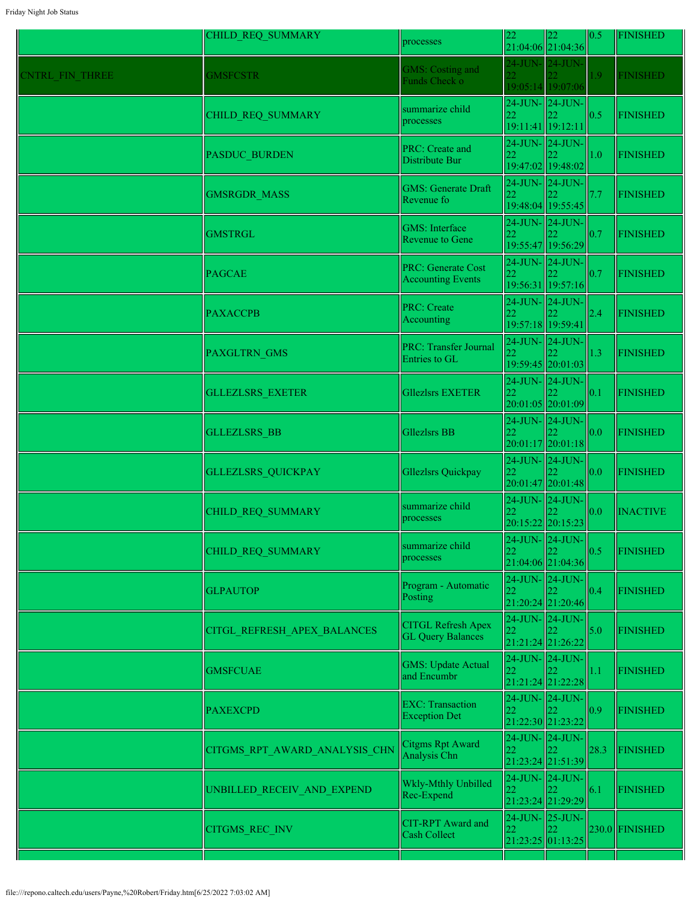|                 | CHILD REQ SUMMARY             | processes                                             |    | $\begin{vmatrix} 22 \\ 21:04:06 \end{vmatrix}$ $\begin{vmatrix} 22 \\ 21:04:36 \end{vmatrix}$ | 0.5  | <b>FINISHED</b>  |
|-----------------|-------------------------------|-------------------------------------------------------|----|-----------------------------------------------------------------------------------------------|------|------------------|
| CNTRL FIN THREE | <b>GMSFCSTR</b>               | <b>GMS: Costing and</b><br>Funds Check o              |    | 24-JUN- 24-JUN-<br>19:05:14 19:07:06                                                          | 1.9  | <b>FINISHED</b>  |
|                 | CHILD_REQ_SUMMARY             | summarize child<br>processes                          | 22 | 24-JUN- 24-JUN-<br>19:11:41 19:12:11                                                          | 0.5  | <b>FINISHED</b>  |
|                 | PASDUC_BURDEN                 | PRC: Create and<br>Distribute Bur                     | 22 | $24$ -JUN- $24$ -JUN-<br>19:47:02 19:48:02                                                    | 1.0  | <b>FINISHED</b>  |
|                 | GMSRGDR_MASS                  | <b>GMS: Generate Draft</b><br>Revenue fo              | 22 | 24-JUN- 24-JUN-<br>19:48:04 19:55:45                                                          | 7.7  | <b>FINISHED</b>  |
|                 | <b>GMSTRGL</b>                | <b>GMS</b> : Interface<br>Revenue to Gene             | 22 | 24-JUN-24-JUN-<br>19:55:47 19:56:29                                                           | 0.7  | <b>FINISHED</b>  |
|                 | <b>PAGCAE</b>                 | <b>PRC: Generate Cost</b><br><b>Accounting Events</b> | 22 | 24-JUN-24-JUN-<br>19:56:31 19:57:16                                                           | 0.7  | <b>FINISHED</b>  |
|                 | <b>PAXACCPB</b>               | <b>PRC: Create</b><br>Accounting                      | 22 | $24$ -JUN- $\vert$ 24-JUN-<br>19:57:18 19:59:41                                               | 2.4  | <b>FINISHED</b>  |
|                 | PAXGLTRN_GMS                  | <b>PRC: Transfer Journal</b><br>Entries to GL         |    | 24-JUN- 24-JUN-<br>19:59:45 20:01:03                                                          | 1.3  | <b>FINISHED</b>  |
|                 | <b>GLLEZLSRS EXETER</b>       | <b>Gllezlsrs EXETER</b>                               | 22 | 24-JUN- 24-JUN-<br>20:01:05 20:01:09                                                          | 0.1  | <b>FINISHED</b>  |
|                 | <b>GLLEZLSRS BB</b>           | <b>Gllezlsrs BB</b>                                   | 22 | 24-JUN-24-JUN-<br>20:01:17 20:01:18                                                           | 0.0  | <b>FINISHED</b>  |
|                 | GLLEZLSRS_QUICKPAY            | Gllezlsrs Quickpay                                    |    | 24-JUN- 24-JUN-<br>20:01:47 20:01:48                                                          | 0.0  | <b>FINISHED</b>  |
|                 | CHILD_REQ_SUMMARY             | summarize child<br>processes                          |    | 24-JUN-24-JUN-<br>20:15:22 20:15:23                                                           | 0.0  | <b>INACTIVE</b>  |
|                 | <b>CHILD REQ SUMMARY</b>      | summarize child<br>processes                          | 22 | 24-JUN- 24-JUN-<br>22<br>21:04:06 21:04:36                                                    | 0.5  | <b>FINISHED</b>  |
|                 | <b>GLPAUTOP</b>               | Program - Automatic<br>Posting                        |    | 24-JUN- 24-JUN-<br>21:20:24 21:20:46                                                          | 0.4  | <b>FINISHED</b>  |
|                 | CITGL REFRESH APEX BALANCES   | <b>CITGL Refresh Apex</b><br><b>GL Query Balances</b> | 22 | $24$ -JUN- $\vert$ 24-JUN-<br>21:21:24 21:26:22                                               | 5.0  | <b>FINISHED</b>  |
|                 | <b>GMSFCUAE</b>               | <b>GMS: Update Actual</b><br>and Encumbr              | 22 | 24-JUN-24-JUN-<br>21:21:24 21:22:28                                                           | 1.1  | <b>FINISHED</b>  |
|                 | <b>PAXEXCPD</b>               | <b>EXC: Transaction</b><br><b>Exception Det</b>       | 22 | $24$ -JUN- $24$ -JUN-<br>21:22:30 21:23:22                                                    | 0.9  | <b>FINISHED</b>  |
|                 | CITGMS_RPT_AWARD_ANALYSIS_CHN | Citgms Rpt Award<br>Analysis Chn                      | 22 | 24-JUN- 24-JUN-<br>21:23:24 21:51:39                                                          | 28.3 | <b>FINISHED</b>  |
|                 | UNBILLED_RECEIV_AND_EXPEND    | Wkly-Mthly Unbilled<br>Rec-Expend                     | 22 | 24-JUN-24-JUN-<br>21:23:24 21:29:29                                                           | 6.1  | <b>FINISHED</b>  |
|                 | CITGMS_REC_INV                | CIT-RPT Award and<br>Cash Collect                     | 22 | 24-JUN- 25-JUN-<br>21:23:25 01:13:25                                                          |      | $230.0$ FINISHED |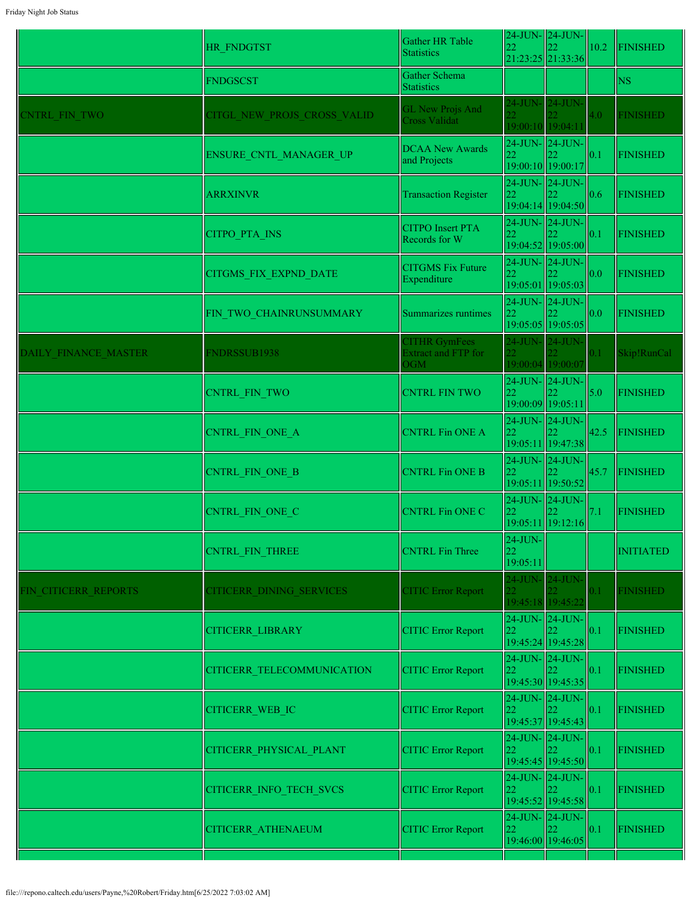|                      | HR FNDGTST                   | Gather HR Table<br><b>Statistics</b>                      | 22                           | $24$ -JUN- $\vert$ 24-JUN-<br>21:23:25 21:33:36 | 10.2 | <b>FINISHED</b>  |
|----------------------|------------------------------|-----------------------------------------------------------|------------------------------|-------------------------------------------------|------|------------------|
|                      | <b>FNDGSCST</b>              | Gather Schema<br><b>Statistics</b>                        |                              |                                                 |      | <b>NS</b>        |
| <b>CNTRL FIN TWO</b> | CITGL NEW PROJS CROSS VALID  | <b>GL New Projs And</b><br><b>Cross Validat</b>           | 22.                          | 24-JUN- 24-JUN-<br>19:00:10 19:04:11            | 4.0  | <b>FINISHED</b>  |
|                      | ENSURE_CNTL_MANAGER_UP       | <b>DCAA New Awards</b><br>and Projects                    | 22                           | 24-JUN- 24-JUN-<br>19:00:10 19:00:17            | 0.1  | <b>FINISHED</b>  |
|                      | <b>ARRXINVR</b>              | <b>Transaction Register</b>                               | 22                           | 24-JUN-24-JUN-<br>19:04:14 19:04:50             | 0.6  | <b>FINISHED</b>  |
|                      | <b>CITPO PTA INS</b>         | <b>CITPO</b> Insert PTA<br>Records for W                  | 22                           | $24$ -JUN- $\vert$ 24-JUN-<br>19:04:52 19:05:00 | 0.1  | <b>FINISHED</b>  |
|                      | <b>CITGMS FIX EXPND DATE</b> | <b>CITGMS Fix Future</b><br>Expenditure                   | 22                           | 24-JUN- 24-JUN-<br>19:05:01 19:05:03            | 0.0  | <b>FINISHED</b>  |
|                      | FIN TWO CHAINRUNSUMMARY      | Summarizes runtimes                                       | $ 22\rangle$                 | 24-JUN- 24-JUN-<br>19:05:05 19:05:05            | 0.0  | <b>FINISHED</b>  |
| DAILY FINANCE MASTER | <b>FNDRSSUB1938</b>          | <b>CITHR GymFees</b><br><b>Extract and FTP for</b><br>OGM | $\overline{22}$              | 24-JUN- 24-JUN-<br>19:00:04 19:00:07            | 0.1  | Skip!RunCal      |
|                      | <b>CNTRL FIN TWO</b>         | <b>CNTRL FIN TWO</b>                                      | 22                           | 24-JUN-24-JUN-<br>19:00:09 19:05:11             | 5.0  | <b>FINISHED</b>  |
|                      | CNTRL FIN ONE A              | <b>CNTRL Fin ONE A</b>                                    | 22                           | 24-JUN-24-JUN-<br>19:05:11 19:47:38             | 42.5 | <b>FINISHED</b>  |
|                      | CNTRL_FIN_ONE_B              | <b>CNTRL Fin ONE B</b>                                    | 22                           | 24-JUN- 24-JUN-<br>19:05:11 19:50:52            | 45.7 | <b>FINISHED</b>  |
|                      | CNTRL FIN ONE C              | <b>CNTRL Fin ONE C</b>                                    | 22                           | 24-JUN-24-JUN-<br>19:05:11 19:12:16             | 7.1  | <b>FINISHED</b>  |
|                      | CNTRL FIN THREE              | <b>CNTRL</b> Fin Three                                    | $24$ -JUN-<br>22<br>19:05:11 |                                                 |      | <b>INITIATED</b> |
| FIN CITICERR REPORTS | CITICERR DINING SERVICES     | <b>CITIC Error Report</b>                                 |                              | 24-JUN- 24-JUN-<br>19:45:18 19:45:22            | 0.1  | <b>FINISHED</b>  |
|                      | <b>CITICERR LIBRARY</b>      | <b>CITIC Error Report</b>                                 | 22                           | 24-JUN-24-JUN-<br>19:45:24 19:45:28             | 0.1  | <b>FINISHED</b>  |
|                      | CITICERR TELECOMMUNICATION   | <b>CITIC Error Report</b>                                 | 22                           | 24-JUN- 24-JUN-<br>19:45:30 19:45:35            | 0.1  | <b>FINISHED</b>  |
|                      | CITICERR_WEB_IC              | <b>CITIC Error Report</b>                                 | 22                           | 24-JUN- 24-JUN-<br>19:45:37 19:45:43            | 0.1  | <b>FINISHED</b>  |
|                      | CITICERR PHYSICAL PLANT      | <b>CITIC Error Report</b>                                 | 22                           | $24$ -JUN- $\vert$ 24-JUN-<br>19:45:45 19:45:50 | 0.1  | <b>FINISHED</b>  |
|                      | CITICERR_INFO_TECH_SVCS      | <b>CITIC Error Report</b>                                 | 22                           | 24-JUN- 24-JUN-<br>19:45:52 19:45:58            | 0.1  | <b>FINISHED</b>  |
|                      | CITICERR_ATHENAEUM           | <b>CITIC Error Report</b>                                 | 22                           | 24-JUN-24-JUN-<br>19:46:00 19:46:05             | 0.1  | <b>FINISHED</b>  |
|                      |                              |                                                           |                              |                                                 |      |                  |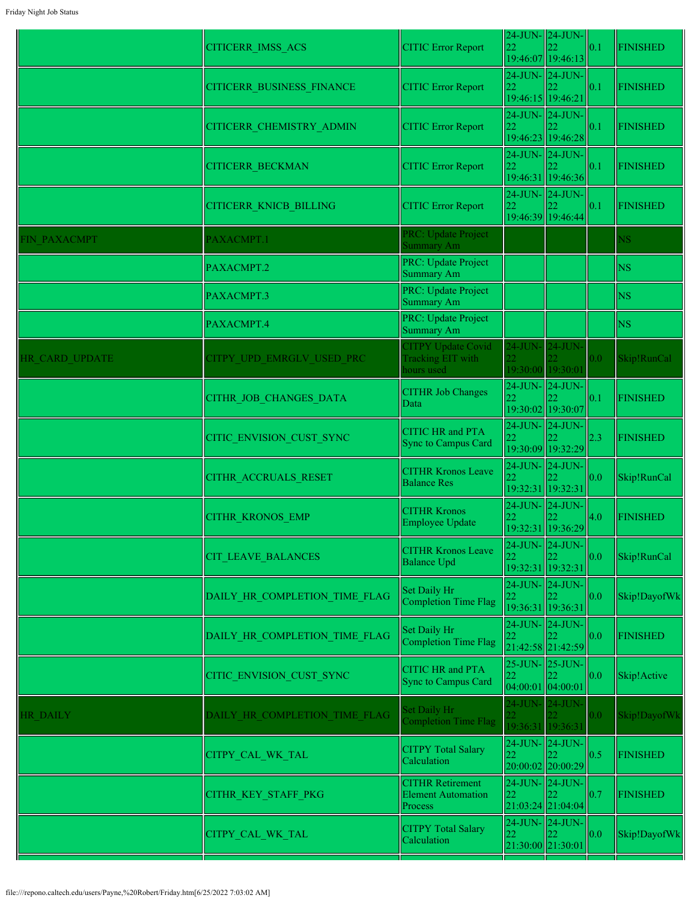| 24-JUN- 24-JUN-<br>22<br><b>CITIC Error Report</b><br> 0.1<br><b>FINISHED</b><br><b>CITICERR BUSINESS FINANCE</b><br>19:46:15 19:46:21<br>$24$ -JUN- $24$ -JUN-<br><b>CITIC Error Report</b><br>22<br> 0.1<br><b>FINISHED</b><br>CITICERR_CHEMISTRY_ADMIN<br>19:46:23 19:46:28<br>$24$ -JUN- $\ 24$ -JUN-<br><b>CITIC Error Report</b><br>22<br> 0.1<br><b>FINISHED</b><br><b>CITICERR BECKMAN</b><br>19:46:31 19:46:36<br>$24$ -JUN- $\ 24$ -JUN-<br><b>CITIC Error Report</b><br>22<br><b>FINISHED</b><br><b>CITICERR KNICB BILLING</b><br>0.1<br>19:46:39 19:46:44<br>PRC: Update Project<br>FIN PAXACMPT<br>PAXACMPT.1<br>NS.<br>Summary Am<br>PRC: Update Project<br><b>NS</b><br>PAXACMPT.2<br><b>Summary Am</b><br>PRC: Update Project<br><b>NS</b><br>PAXACMPT.3<br><b>Summary Am</b><br>PRC: Update Project<br><b>NS</b><br>PAXACMPT.4<br>Summary Am<br><b>CITPY Update Covid</b><br>24-JUN- 24-JUN-<br>Skip!RunCal<br>HR CARD UPDATE<br>CITPY UPD EMRGLV USED PRC<br>Tracking EIT with<br>0.0<br>19:30:00 19:30:01<br>hours used<br>$24$ -JUN- $\ 24$ -JUN-<br><b>CITHR Job Changes</b><br>CITHR_JOB_CHANGES_DATA<br>22<br><b>FINISHED</b><br>0.1<br>Data<br>19:30:02 19:30:07<br>24-JUN-24-JUN-<br><b>CITIC HR and PTA</b><br>CITIC ENVISION CUST SYNC<br>22<br><b>FINISHED</b><br>2.3<br>Sync to Campus Card<br>19:30:09 19:32:29<br>24-JUN- 24-JUN-<br><b>CITHR Kronos Leave</b><br>Skip!RunCal<br>22<br> 0.0 <br>CITHR ACCRUALS RESET<br><b>Balance Res</b><br>19:32:31 19:32:31<br>$24$ -JUN- $24$ -JUN-<br><b>CITHR Kronos</b><br>4.0<br><b>FINISHED</b><br><b>CITHR KRONOS EMP</b><br>22<br>Employee Update<br>19:32:31 19:36:29<br>$24$ -JUN- $ 24$ -JUN- $ $<br><b>CITHR Kronos Leave</b><br>22<br> 0.0 <br>Skip!RunCal<br>CIT_LEAVE_BALANCES<br><b>Balance Upd</b><br>19:32:31 19:32:31<br>24-JUN-24-JUN-<br>Set Daily Hr<br>DAILY HR COMPLETION TIME FLAG<br>22<br>Skip!DayofWk<br> 0.0 <br>Completion Time Flag<br>19:36:31 19:36:31<br>24-JUN- 24-JUN-<br>Set Daily Hr<br>DAILY HR COMPLETION TIME FLAG<br>22<br><b>FINISHED</b><br>0.0<br>Completion Time Flag<br>21:42:58 21:42:59<br>25-JUN- 25-JUN-<br><b>CITIC HR</b> and PTA<br> 0.0 <br>CITIC ENVISION CUST SYNC<br>22<br>Skip!Active<br><b>Sync to Campus Card</b><br>04:00:01 04:00:01<br>24-JUN- 24-JUN-<br>Set Daily Hr<br>0.0 <sub>1</sub><br>DAILY HR COMPLETION TIME FLAG<br>Skip!DayofWk<br>HR DAILY<br><b>Completion Time Flag</b><br>19:36:31 19:36:31<br>24-JUN- 24-JUN-<br><b>CITPY Total Salary</b><br>22<br>0.5<br><b>FINISHED</b><br>CITPY_CAL_WK_TAL<br>Calculation<br>20:00:02 20:00:29<br><b>CITHR Retirement</b><br>24-JUN- 24-JUN-<br> 0.7<br>CITHR_KEY_STAFF_PKG<br><b>Element Automation</b><br>22<br><b>FINISHED</b><br>21:03:24 21:04:04<br>Process<br>24-JUN- 24-JUN-<br><b>CITPY Total Salary</b><br> 0.0 <br>22<br>Skip!DayofWk<br>CITPY_CAL_WK_TAL<br>Calculation | <b>CITICERR IMSS ACS</b> | <b>CITIC Error Report</b> | 24-JUN- 24-JUN-<br>22 | 19:46:07 19:46:13 | 0.1 | <b>FINISHED</b> |
|-----------------------------------------------------------------------------------------------------------------------------------------------------------------------------------------------------------------------------------------------------------------------------------------------------------------------------------------------------------------------------------------------------------------------------------------------------------------------------------------------------------------------------------------------------------------------------------------------------------------------------------------------------------------------------------------------------------------------------------------------------------------------------------------------------------------------------------------------------------------------------------------------------------------------------------------------------------------------------------------------------------------------------------------------------------------------------------------------------------------------------------------------------------------------------------------------------------------------------------------------------------------------------------------------------------------------------------------------------------------------------------------------------------------------------------------------------------------------------------------------------------------------------------------------------------------------------------------------------------------------------------------------------------------------------------------------------------------------------------------------------------------------------------------------------------------------------------------------------------------------------------------------------------------------------------------------------------------------------------------------------------------------------------------------------------------------------------------------------------------------------------------------------------------------------------------------------------------------------------------------------------------------------------------------------------------------------------------------------------------------------------------------------------------------------------------------------------------------------------------------------------------------------------------------------------------------------------------------------------------------------------------------------------------------------------------------------------------------------------------------------------------------------------------------------------------------------------------------------------------------------|--------------------------|---------------------------|-----------------------|-------------------|-----|-----------------|
|                                                                                                                                                                                                                                                                                                                                                                                                                                                                                                                                                                                                                                                                                                                                                                                                                                                                                                                                                                                                                                                                                                                                                                                                                                                                                                                                                                                                                                                                                                                                                                                                                                                                                                                                                                                                                                                                                                                                                                                                                                                                                                                                                                                                                                                                                                                                                                                                                                                                                                                                                                                                                                                                                                                                                                                                                                                                             |                          |                           |                       |                   |     |                 |
|                                                                                                                                                                                                                                                                                                                                                                                                                                                                                                                                                                                                                                                                                                                                                                                                                                                                                                                                                                                                                                                                                                                                                                                                                                                                                                                                                                                                                                                                                                                                                                                                                                                                                                                                                                                                                                                                                                                                                                                                                                                                                                                                                                                                                                                                                                                                                                                                                                                                                                                                                                                                                                                                                                                                                                                                                                                                             |                          |                           |                       |                   |     |                 |
|                                                                                                                                                                                                                                                                                                                                                                                                                                                                                                                                                                                                                                                                                                                                                                                                                                                                                                                                                                                                                                                                                                                                                                                                                                                                                                                                                                                                                                                                                                                                                                                                                                                                                                                                                                                                                                                                                                                                                                                                                                                                                                                                                                                                                                                                                                                                                                                                                                                                                                                                                                                                                                                                                                                                                                                                                                                                             |                          |                           |                       |                   |     |                 |
|                                                                                                                                                                                                                                                                                                                                                                                                                                                                                                                                                                                                                                                                                                                                                                                                                                                                                                                                                                                                                                                                                                                                                                                                                                                                                                                                                                                                                                                                                                                                                                                                                                                                                                                                                                                                                                                                                                                                                                                                                                                                                                                                                                                                                                                                                                                                                                                                                                                                                                                                                                                                                                                                                                                                                                                                                                                                             |                          |                           |                       |                   |     |                 |
|                                                                                                                                                                                                                                                                                                                                                                                                                                                                                                                                                                                                                                                                                                                                                                                                                                                                                                                                                                                                                                                                                                                                                                                                                                                                                                                                                                                                                                                                                                                                                                                                                                                                                                                                                                                                                                                                                                                                                                                                                                                                                                                                                                                                                                                                                                                                                                                                                                                                                                                                                                                                                                                                                                                                                                                                                                                                             |                          |                           |                       |                   |     |                 |
|                                                                                                                                                                                                                                                                                                                                                                                                                                                                                                                                                                                                                                                                                                                                                                                                                                                                                                                                                                                                                                                                                                                                                                                                                                                                                                                                                                                                                                                                                                                                                                                                                                                                                                                                                                                                                                                                                                                                                                                                                                                                                                                                                                                                                                                                                                                                                                                                                                                                                                                                                                                                                                                                                                                                                                                                                                                                             |                          |                           |                       |                   |     |                 |
|                                                                                                                                                                                                                                                                                                                                                                                                                                                                                                                                                                                                                                                                                                                                                                                                                                                                                                                                                                                                                                                                                                                                                                                                                                                                                                                                                                                                                                                                                                                                                                                                                                                                                                                                                                                                                                                                                                                                                                                                                                                                                                                                                                                                                                                                                                                                                                                                                                                                                                                                                                                                                                                                                                                                                                                                                                                                             |                          |                           |                       |                   |     |                 |
|                                                                                                                                                                                                                                                                                                                                                                                                                                                                                                                                                                                                                                                                                                                                                                                                                                                                                                                                                                                                                                                                                                                                                                                                                                                                                                                                                                                                                                                                                                                                                                                                                                                                                                                                                                                                                                                                                                                                                                                                                                                                                                                                                                                                                                                                                                                                                                                                                                                                                                                                                                                                                                                                                                                                                                                                                                                                             |                          |                           |                       |                   |     |                 |
|                                                                                                                                                                                                                                                                                                                                                                                                                                                                                                                                                                                                                                                                                                                                                                                                                                                                                                                                                                                                                                                                                                                                                                                                                                                                                                                                                                                                                                                                                                                                                                                                                                                                                                                                                                                                                                                                                                                                                                                                                                                                                                                                                                                                                                                                                                                                                                                                                                                                                                                                                                                                                                                                                                                                                                                                                                                                             |                          |                           |                       |                   |     |                 |
|                                                                                                                                                                                                                                                                                                                                                                                                                                                                                                                                                                                                                                                                                                                                                                                                                                                                                                                                                                                                                                                                                                                                                                                                                                                                                                                                                                                                                                                                                                                                                                                                                                                                                                                                                                                                                                                                                                                                                                                                                                                                                                                                                                                                                                                                                                                                                                                                                                                                                                                                                                                                                                                                                                                                                                                                                                                                             |                          |                           |                       |                   |     |                 |
|                                                                                                                                                                                                                                                                                                                                                                                                                                                                                                                                                                                                                                                                                                                                                                                                                                                                                                                                                                                                                                                                                                                                                                                                                                                                                                                                                                                                                                                                                                                                                                                                                                                                                                                                                                                                                                                                                                                                                                                                                                                                                                                                                                                                                                                                                                                                                                                                                                                                                                                                                                                                                                                                                                                                                                                                                                                                             |                          |                           |                       |                   |     |                 |
|                                                                                                                                                                                                                                                                                                                                                                                                                                                                                                                                                                                                                                                                                                                                                                                                                                                                                                                                                                                                                                                                                                                                                                                                                                                                                                                                                                                                                                                                                                                                                                                                                                                                                                                                                                                                                                                                                                                                                                                                                                                                                                                                                                                                                                                                                                                                                                                                                                                                                                                                                                                                                                                                                                                                                                                                                                                                             |                          |                           |                       |                   |     |                 |
|                                                                                                                                                                                                                                                                                                                                                                                                                                                                                                                                                                                                                                                                                                                                                                                                                                                                                                                                                                                                                                                                                                                                                                                                                                                                                                                                                                                                                                                                                                                                                                                                                                                                                                                                                                                                                                                                                                                                                                                                                                                                                                                                                                                                                                                                                                                                                                                                                                                                                                                                                                                                                                                                                                                                                                                                                                                                             |                          |                           |                       |                   |     |                 |
|                                                                                                                                                                                                                                                                                                                                                                                                                                                                                                                                                                                                                                                                                                                                                                                                                                                                                                                                                                                                                                                                                                                                                                                                                                                                                                                                                                                                                                                                                                                                                                                                                                                                                                                                                                                                                                                                                                                                                                                                                                                                                                                                                                                                                                                                                                                                                                                                                                                                                                                                                                                                                                                                                                                                                                                                                                                                             |                          |                           |                       |                   |     |                 |
|                                                                                                                                                                                                                                                                                                                                                                                                                                                                                                                                                                                                                                                                                                                                                                                                                                                                                                                                                                                                                                                                                                                                                                                                                                                                                                                                                                                                                                                                                                                                                                                                                                                                                                                                                                                                                                                                                                                                                                                                                                                                                                                                                                                                                                                                                                                                                                                                                                                                                                                                                                                                                                                                                                                                                                                                                                                                             |                          |                           |                       |                   |     |                 |
|                                                                                                                                                                                                                                                                                                                                                                                                                                                                                                                                                                                                                                                                                                                                                                                                                                                                                                                                                                                                                                                                                                                                                                                                                                                                                                                                                                                                                                                                                                                                                                                                                                                                                                                                                                                                                                                                                                                                                                                                                                                                                                                                                                                                                                                                                                                                                                                                                                                                                                                                                                                                                                                                                                                                                                                                                                                                             |                          |                           |                       |                   |     |                 |
|                                                                                                                                                                                                                                                                                                                                                                                                                                                                                                                                                                                                                                                                                                                                                                                                                                                                                                                                                                                                                                                                                                                                                                                                                                                                                                                                                                                                                                                                                                                                                                                                                                                                                                                                                                                                                                                                                                                                                                                                                                                                                                                                                                                                                                                                                                                                                                                                                                                                                                                                                                                                                                                                                                                                                                                                                                                                             |                          |                           |                       |                   |     |                 |
|                                                                                                                                                                                                                                                                                                                                                                                                                                                                                                                                                                                                                                                                                                                                                                                                                                                                                                                                                                                                                                                                                                                                                                                                                                                                                                                                                                                                                                                                                                                                                                                                                                                                                                                                                                                                                                                                                                                                                                                                                                                                                                                                                                                                                                                                                                                                                                                                                                                                                                                                                                                                                                                                                                                                                                                                                                                                             |                          |                           |                       |                   |     |                 |
|                                                                                                                                                                                                                                                                                                                                                                                                                                                                                                                                                                                                                                                                                                                                                                                                                                                                                                                                                                                                                                                                                                                                                                                                                                                                                                                                                                                                                                                                                                                                                                                                                                                                                                                                                                                                                                                                                                                                                                                                                                                                                                                                                                                                                                                                                                                                                                                                                                                                                                                                                                                                                                                                                                                                                                                                                                                                             |                          |                           |                       |                   |     |                 |
|                                                                                                                                                                                                                                                                                                                                                                                                                                                                                                                                                                                                                                                                                                                                                                                                                                                                                                                                                                                                                                                                                                                                                                                                                                                                                                                                                                                                                                                                                                                                                                                                                                                                                                                                                                                                                                                                                                                                                                                                                                                                                                                                                                                                                                                                                                                                                                                                                                                                                                                                                                                                                                                                                                                                                                                                                                                                             |                          |                           |                       |                   |     |                 |
| 21:30:00 21:30:01                                                                                                                                                                                                                                                                                                                                                                                                                                                                                                                                                                                                                                                                                                                                                                                                                                                                                                                                                                                                                                                                                                                                                                                                                                                                                                                                                                                                                                                                                                                                                                                                                                                                                                                                                                                                                                                                                                                                                                                                                                                                                                                                                                                                                                                                                                                                                                                                                                                                                                                                                                                                                                                                                                                                                                                                                                                           |                          |                           |                       |                   |     |                 |